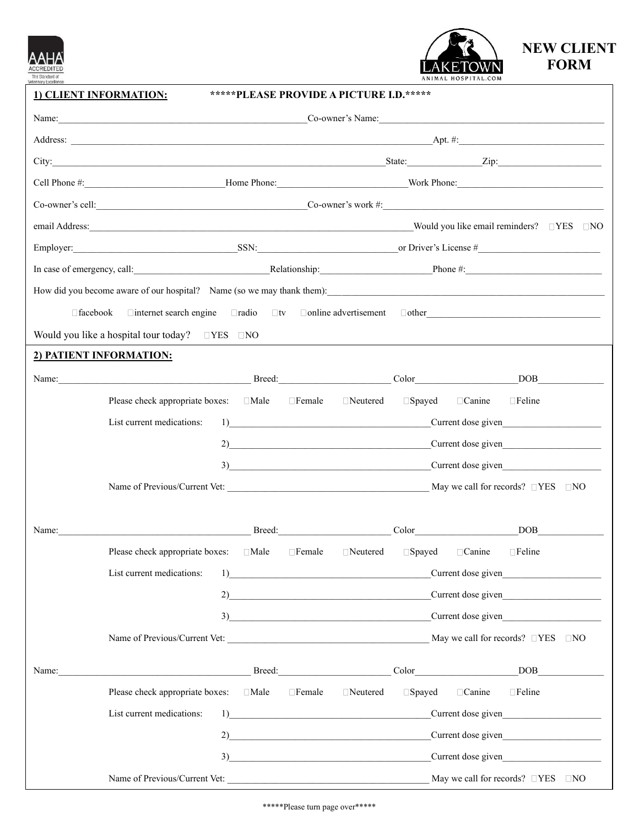



**1) CLIENT INFORMATION: \*\*\*\*\*PLEASE PROVIDE A PICTURE I.D.\*\*\*\*\***

|       | $\text{Co-owner's cell:}$ Co-owner's work #:                                                                     |             |               |                 |                                                                                                                                                                                                                                                                                                                                                                                                    |                    |                                               |  |
|-------|------------------------------------------------------------------------------------------------------------------|-------------|---------------|-----------------|----------------------------------------------------------------------------------------------------------------------------------------------------------------------------------------------------------------------------------------------------------------------------------------------------------------------------------------------------------------------------------------------------|--------------------|-----------------------------------------------|--|
|       |                                                                                                                  |             |               |                 |                                                                                                                                                                                                                                                                                                                                                                                                    |                    |                                               |  |
|       |                                                                                                                  |             |               |                 | Employer: SSN: SSN: or Driver's License #                                                                                                                                                                                                                                                                                                                                                          |                    |                                               |  |
|       |                                                                                                                  |             |               |                 | In case of emergency, call: Relationship: Phone #: Phone #:                                                                                                                                                                                                                                                                                                                                        |                    |                                               |  |
|       |                                                                                                                  |             |               |                 |                                                                                                                                                                                                                                                                                                                                                                                                    |                    |                                               |  |
|       | $\Box$ internet search engine $\Box$ radio $\Box$ tv $\Box$ online advertisement $\Box$ other<br>$\Box$ facebook |             |               |                 |                                                                                                                                                                                                                                                                                                                                                                                                    |                    |                                               |  |
|       | Would you like a hospital tour today? $\square$ YES $\square$ NO                                                 |             |               |                 |                                                                                                                                                                                                                                                                                                                                                                                                    |                    |                                               |  |
|       | 2) PATIENT INFORMATION:                                                                                          |             |               |                 |                                                                                                                                                                                                                                                                                                                                                                                                    |                    |                                               |  |
|       | Name: DOB                                                                                                        |             |               |                 |                                                                                                                                                                                                                                                                                                                                                                                                    |                    |                                               |  |
|       | Please check appropriate boxes: □Male □Female □Neutered □Spayed □Canine                                          |             |               |                 |                                                                                                                                                                                                                                                                                                                                                                                                    |                    | $\Box$ Feline                                 |  |
|       | List current medications:                                                                                        |             |               |                 |                                                                                                                                                                                                                                                                                                                                                                                                    |                    | 1) Current dose given                         |  |
|       |                                                                                                                  |             |               |                 |                                                                                                                                                                                                                                                                                                                                                                                                    |                    | 2) Current dose given                         |  |
|       |                                                                                                                  |             |               |                 |                                                                                                                                                                                                                                                                                                                                                                                                    |                    | 3) Current dose given                         |  |
|       |                                                                                                                  |             |               |                 |                                                                                                                                                                                                                                                                                                                                                                                                    |                    |                                               |  |
| Name: |                                                                                                                  |             |               |                 |                                                                                                                                                                                                                                                                                                                                                                                                    |                    | DOB <sub>2</sub>                              |  |
|       | Please check appropriate boxes: □Male □ Female □ Neutered □ Spayed □ Canine                                      |             |               |                 |                                                                                                                                                                                                                                                                                                                                                                                                    |                    | $\Box$ Feline                                 |  |
|       | List current medications: 1                                                                                      |             |               |                 |                                                                                                                                                                                                                                                                                                                                                                                                    | Current dose given |                                               |  |
|       |                                                                                                                  |             |               |                 |                                                                                                                                                                                                                                                                                                                                                                                                    |                    | 2) Current dose given                         |  |
|       |                                                                                                                  |             |               |                 |                                                                                                                                                                                                                                                                                                                                                                                                    |                    | 3) Current dose given                         |  |
|       | Name of Previous/Current Vet:                                                                                    |             |               |                 |                                                                                                                                                                                                                                                                                                                                                                                                    |                    | May we call for records? $\Box$ YES $\Box$ NO |  |
| Name: |                                                                                                                  |             |               |                 | Breed: Color                                                                                                                                                                                                                                                                                                                                                                                       |                    | DOB <sub>2</sub>                              |  |
|       | Please check appropriate boxes:                                                                                  | $\Box$ Male | $\Box$ Female | $\Box$ Neutered | $\square$ Spayed                                                                                                                                                                                                                                                                                                                                                                                   | □ Canine           | $\Box$ Feline                                 |  |
|       | List current medications:                                                                                        |             |               | 1)              |                                                                                                                                                                                                                                                                                                                                                                                                    |                    | Current dose given                            |  |
|       | 2)                                                                                                               |             |               |                 | Current dose given<br>$3)$ and $\overline{\phantom{a}1}$ and $\overline{\phantom{a}1}$ and $\overline{\phantom{a}1}$ and $\overline{\phantom{a}1}$ and $\overline{\phantom{a}1}$ and $\overline{\phantom{a}1}$ and $\overline{\phantom{a}1}$ and $\overline{\phantom{a}1}$ and $\overline{\phantom{a}1}$ and $\overline{\phantom{a}1}$ and $\overline{\phantom{a}1}$ and $\overline{\phantom{a}1}$ |                    |                                               |  |
|       |                                                                                                                  |             |               |                 |                                                                                                                                                                                                                                                                                                                                                                                                    |                    |                                               |  |
|       | Name of Previous/Current Vet:                                                                                    |             |               |                 |                                                                                                                                                                                                                                                                                                                                                                                                    |                    | May we call for records? $\Box$ YES $\Box$ NO |  |